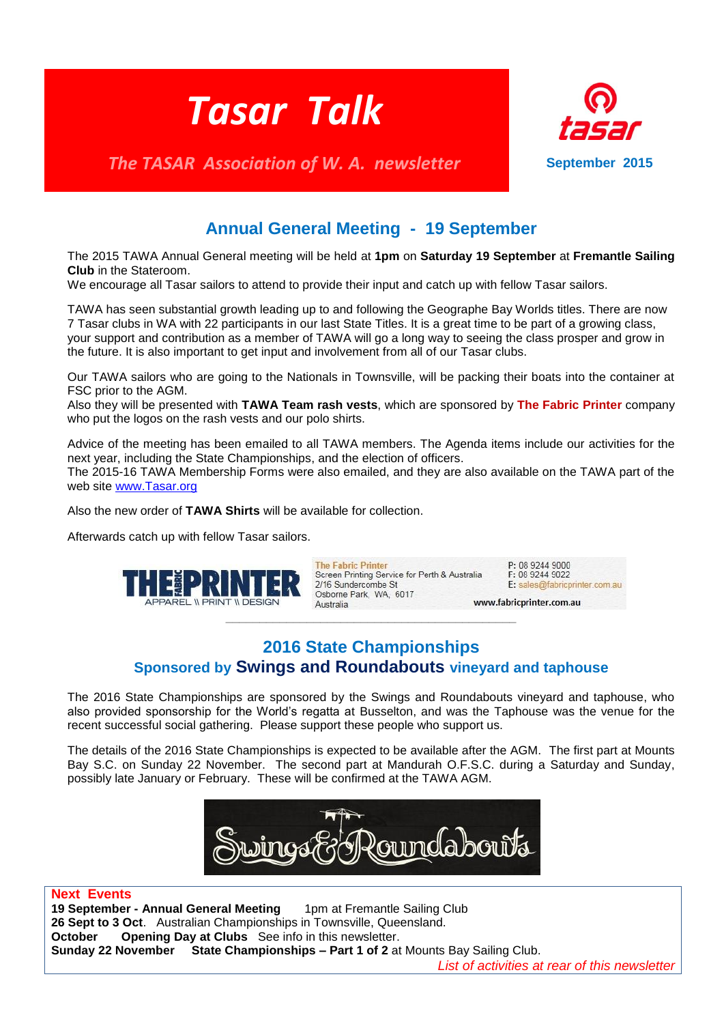*Tasar Talk*



*The TASAR Association of W. A. newsletter* **September 2015** 

# **Annual General Meeting - 19 September**

The 2015 TAWA Annual General meeting will be held at **1pm** on **Saturday 19 September** at **Fremantle Sailing Club** in the Stateroom.

We encourage all Tasar sailors to attend to provide their input and catch up with fellow Tasar sailors.

TAWA has seen substantial growth leading up to and following the Geographe Bay Worlds titles. There are now 7 Tasar clubs in WA with 22 participants in our last State Titles. It is a great time to be part of a growing class, your support and contribution as a member of TAWA will go a long way to seeing the class prosper and grow in the future. It is also important to get input and involvement from all of our Tasar clubs.

Our TAWA sailors who are going to the Nationals in Townsville, will be packing their boats into the container at FSC prior to the AGM.

Also they will be presented with **TAWA Team rash vests**, which are sponsored by **The Fabric Printer** company who put the logos on the rash vests and our polo shirts.

Advice of the meeting has been emailed to all TAWA members. The Agenda items include our activities for the next year, including the State Championships, and the election of officers.

The 2015-16 TAWA Membership Forms were also emailed, and they are also available on the TAWA part of the web site [www.Tasar.org](http://www.tasar.org/)

Also the new order of **TAWA Shirts** will be available for collection.

Afterwards catch up with fellow Tasar sailors.



**The Fabric Printer** Screen Printing Service for Perth & Australia 2/16 Sundercombe St Osborne Park, WA, 6017 Australia



www.fabricprinter.com.au

# **2016 State Championships Sponsored by Swings and Roundabouts vineyard and taphouse**

\_\_\_\_\_\_\_\_\_\_\_\_\_\_\_\_\_\_\_\_\_\_\_\_\_\_\_\_\_\_\_\_\_\_\_\_\_\_\_\_\_\_\_

The 2016 State Championships are sponsored by the Swings and Roundabouts vineyard and taphouse, who also provided sponsorship for the World's regatta at Busselton, and was the Taphouse was the venue for the recent successful social gathering. Please support these people who support us.

The details of the 2016 State Championships is expected to be available after the AGM. The first part at Mounts Bay S.C. on Sunday 22 November. The second part at Mandurah O.F.S.C. during a Saturday and Sunday, possibly late January or February. These will be confirmed at the TAWA AGM.



#### **Next Events**

**19 September - Annual General Meeting 1pm at Fremantle Sailing Club 26 Sept to 3 Oct**. Australian Championships in Townsville, Queensland. **October Opening Day at Clubs** See info in this newsletter. **Sunday 22 November State Championships – Part 1 of 2** at Mounts Bay Sailing Club.

*List of activities at rear of this newsletter*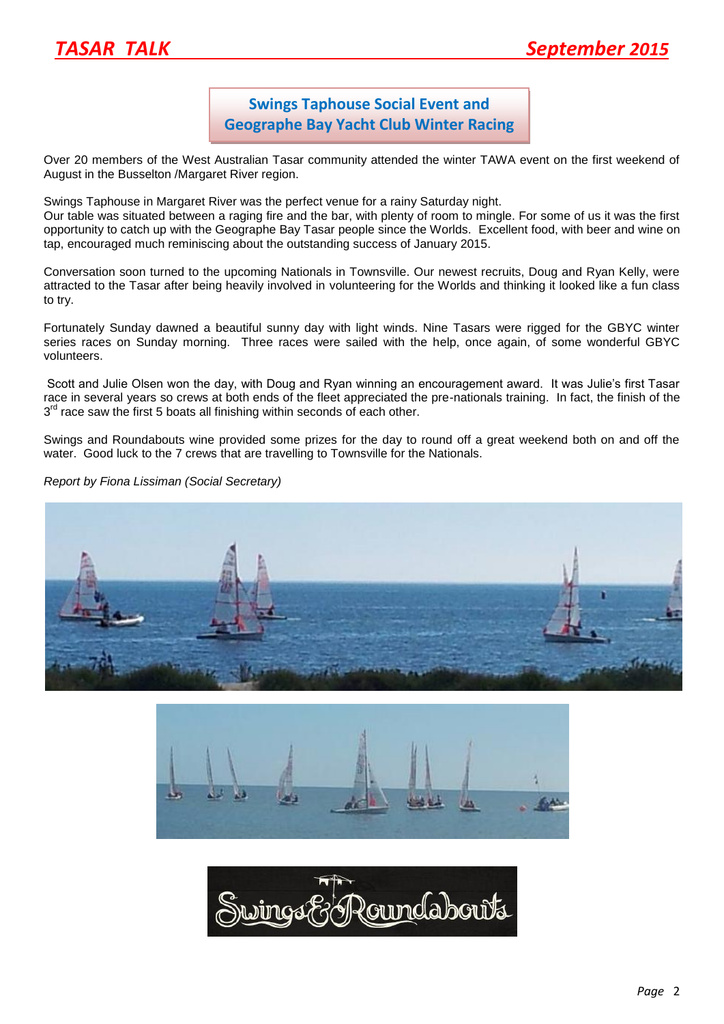

## **Swings Taphouse Social Event and Geographe Bay Yacht Club Winter Racing**

Over 20 members of the West Australian Tasar community attended the winter TAWA event on the first weekend of August in the Busselton /Margaret River region.

Swings Taphouse in Margaret River was the perfect venue for a rainy Saturday night.

Our table was situated between a raging fire and the bar, with plenty of room to mingle. For some of us it was the first opportunity to catch up with the Geographe Bay Tasar people since the Worlds. Excellent food, with beer and wine on tap, encouraged much reminiscing about the outstanding success of January 2015.

Conversation soon turned to the upcoming Nationals in Townsville. Our newest recruits, Doug and Ryan Kelly, were attracted to the Tasar after being heavily involved in volunteering for the Worlds and thinking it looked like a fun class to try.

Fortunately Sunday dawned a beautiful sunny day with light winds. Nine Tasars were rigged for the GBYC winter series races on Sunday morning. Three races were sailed with the help, once again, of some wonderful GBYC volunteers.

Scott and Julie Olsen won the day, with Doug and Ryan winning an encouragement award. It was Julie's first Tasar race in several years so crews at both ends of the fleet appreciated the pre-nationals training. In fact, the finish of the 3<sup>rd</sup> race saw the first 5 boats all finishing within seconds of each other.

Swings and Roundabouts wine provided some prizes for the day to round off a great weekend both on and off the water. Good luck to the 7 crews that are travelling to Townsville for the Nationals.

*Report by Fiona Lissiman (Social Secretary)*





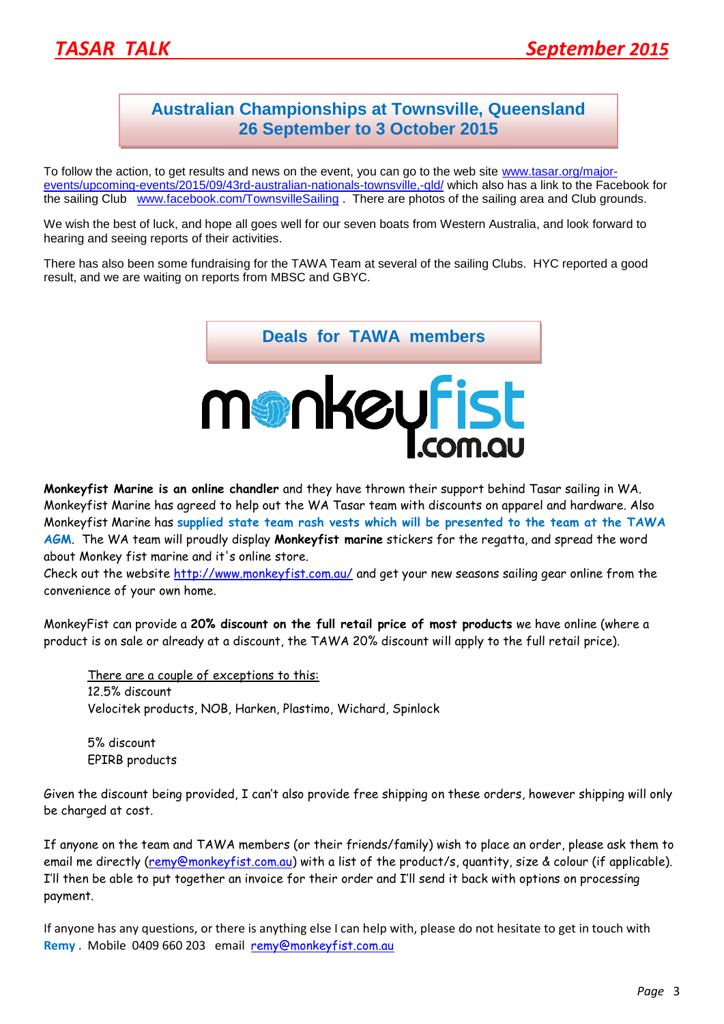# **Australian Championships at Townsville, Queensland 26 September to 3 October 2015**

To follow the action, to get results and news on the event, you can go to the web site [www.tasar.org/major](http://www.tasar.org/major-events/upcoming-events/2015/09/43rd-australian-nationals-townsville,-qld/)[events/upcoming-events/2015/09/43rd-australian-nationals-townsville,-qld/](http://www.tasar.org/major-events/upcoming-events/2015/09/43rd-australian-nationals-townsville,-qld/) which also has a link to the Facebook for the sailing Club [www.facebook.com/TownsvilleSailing](http://www.facebook.com/TownsvilleSailing) . There are photos of the sailing area and Club grounds.

We wish the best of luck, and hope all goes well for our seven boats from Western Australia, and look forward to hearing and seeing reports of their activities.

There has also been some fundraising for the TAWA Team at several of the sailing Clubs. HYC reported a good result, and we are waiting on reports from MBSC and GBYC.

**Deals for TAWA members**



**Monkeyfist Marine is an online chandler** and they have thrown their support behind Tasar sailing in WA. Monkeyfist Marine has agreed to help out the WA Tasar team with discounts on apparel and hardware. Also Monkeyfist Marine has **supplied state team rash vests which will be presented to the team at the TAWA AGM**. The WA team will proudly display **Monkeyfist marine** stickers for the regatta, and spread the word about Monkey fist marine and it's online store.

Check out the website<http://www.monkeyfist.com.au/> and get your new seasons sailing gear online from the convenience of your own home.

MonkeyFist can provide a **20% discount on the full retail price of most products** we have online (where a product is on sale or already at a discount, the TAWA 20% discount will apply to the full retail price).

There are a couple of exceptions to this: 12.5% discount Velocitek products, NOB, Harken, Plastimo, Wichard, Spinlock

5% discount EPIRB products

Given the discount being provided, I can't also provide free shipping on these orders, however shipping will only be charged at cost.

If anyone on the team and TAWA members (or their friends/family) wish to place an order, please ask them to email me directly [\(remy@monkeyfist.com.au\)](mailto:remy@monkeyfist.com.au) with a list of the product/s, quantity, size & colour (if applicable). I'll then be able to put together an invoice for their order and I'll send it back with options on processing payment.

If anyone has any questions, or there is anything else I can help with, please do not hesitate to get in touch with Remy . Mobile 0409 660 203 email [remy@monkeyfist.com.au](mailto:remy@monkeyfist.com.au)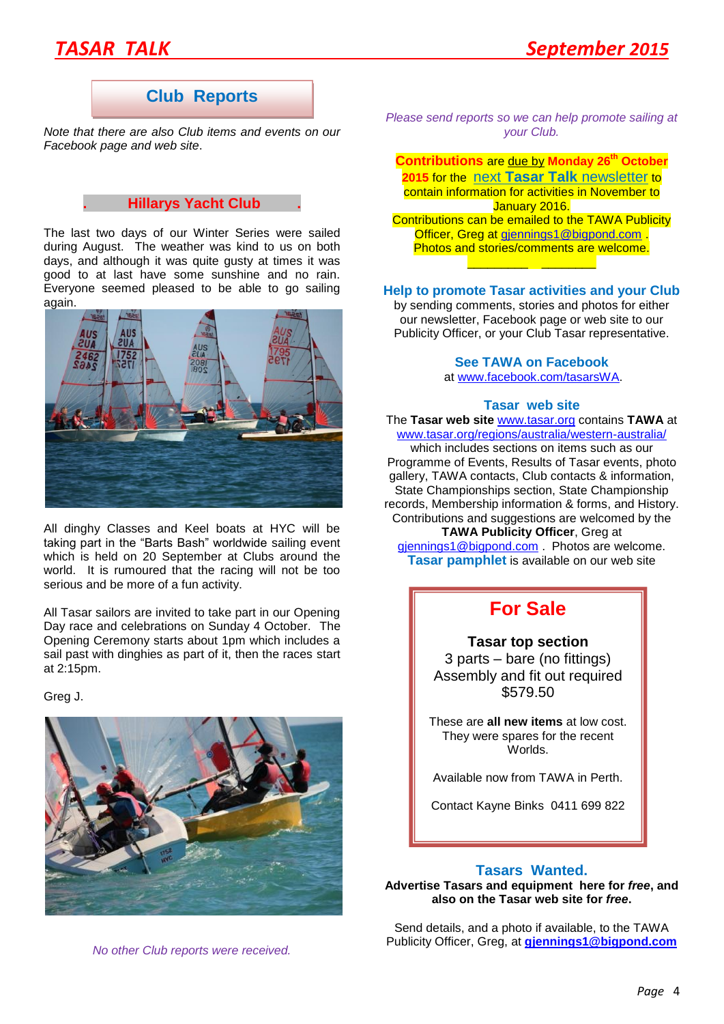# **Club Reports**

*Note that there are also Club items and events on our Facebook page and web site*.

#### **. Hillarys Yacht Club .**

The last two days of our Winter Series were sailed during August. The weather was kind to us on both days, and although it was quite gusty at times it was good to at last have some sunshine and no rain. Everyone seemed pleased to be able to go sailing again.



All dinghy Classes and Keel boats at HYC will be taking part in the "Barts Bash" worldwide sailing event which is held on 20 September at Clubs around the world. It is rumoured that the racing will not be too serious and be more of a fun activity.

All Tasar sailors are invited to take part in our Opening Day race and celebrations on Sunday 4 October. The Opening Ceremony starts about 1pm which includes a sail past with dinghies as part of it, then the races start at 2:15pm.

Greg J.



*No other Club reports were received.*

*Please send reports so we can help promote sailing at your Club.*

**Contributions** are due by **Monday 26th October 2015** for the next **Tasar Talk** newsletter to contain information for activities in November to January 2016. Contributions can be emailed to the TAWA Publicity Officer, Greg at [gjennings1@bigpond.com](mailto:gjennings1@bigpond.com) . Photos and stories/comments are welcome.

### **Help to promote Tasar activities and your Club**

\_\_\_\_\_\_\_\_\_ \_\_\_\_\_\_\_\_

by sending comments, stories and photos for either our newsletter, Facebook page or web site to our Publicity Officer, or your Club Tasar representative.

#### **See TAWA on Facebook**

at [www.facebook.com/tasarsWA.](http://www.facebook.com/tasarsWA)

#### **Tasar web site**

The **Tasar web site** [www.tasar.org](http://www.tasar.org/) contains **TAWA** at [www.tasar.org/regions/australia/western-australia/](http://www.tasar.org/regions/australia/western-australia/)

which includes sections on items such as our Programme of Events, Results of Tasar events, photo gallery, TAWA contacts, Club contacts & information, State Championships section, State Championship records, Membership information & forms, and History. Contributions and suggestions are welcomed by the **TAWA Publicity Officer**, Greg at

[gjennings1@bigpond.com](mailto:gjennings1@bigpond.com) . Photos are welcome. **Tasar pamphlet** is available on our web site

# **For Sale**

**Tasar top section** 3 parts – bare (no fittings) Assembly and fit out required \$579.50

These are **all new items** at low cost. They were spares for the recent Worlds.

Available now from TAWA in Perth.

Contact Kayne Binks 0411 699 822

### **Tasars Wanted.**

**Advertise Tasars and equipment here for** *free***, and also on the Tasar web site for** *free***.**

Send details, and a photo if available, to the TAWA Publicity Officer, Greg, at **[gjennings1@bigpond.com](mailto:gjennings1@bigpond.com)**